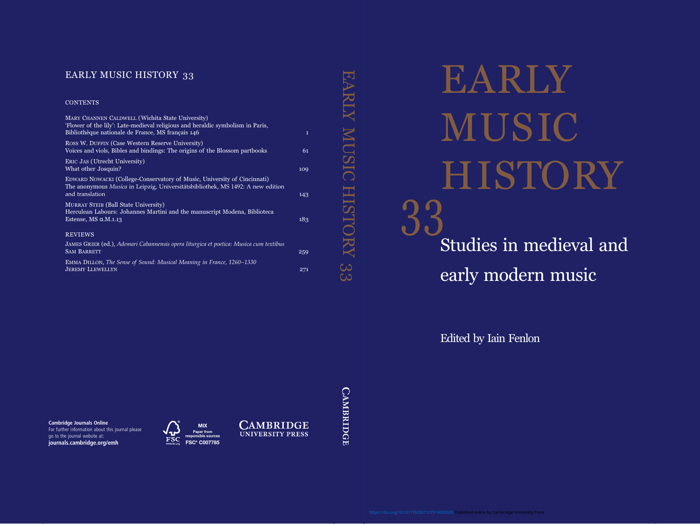EARLY MUSIC HISTORY 33 Studies in medieval and early modern music

Edited by Iain Fenlon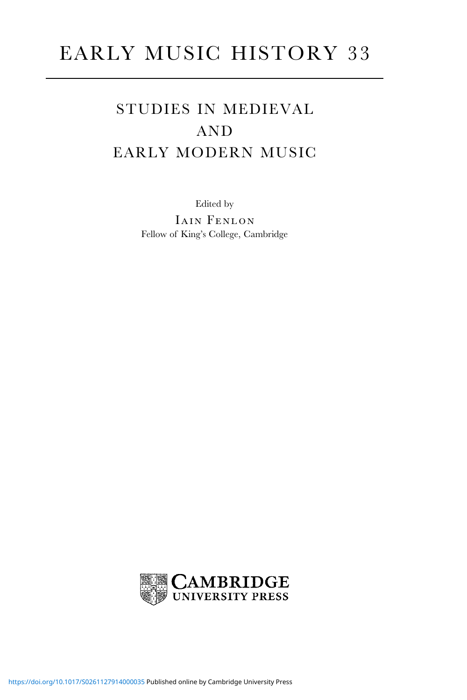# EARLY MUSIC HISTORY 33

## STUDIES IN MEDIEVAL AND EARLY MODERN MUSIC

Edited by

IAIN FENLON Fellow of King's College, Cambridge

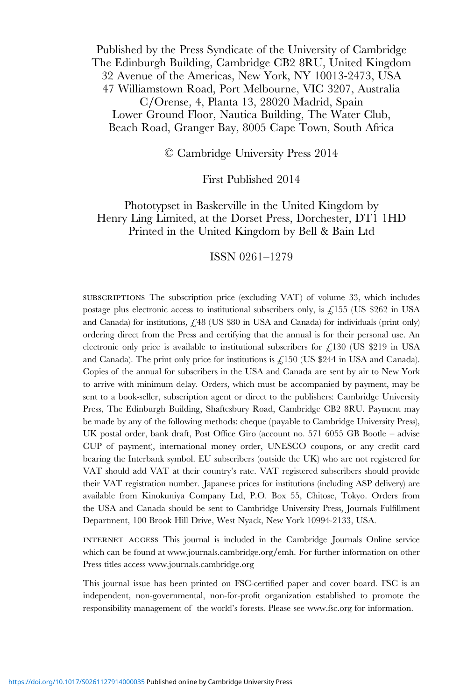Published by the Press Syndicate of the University of Cambridge The Edinburgh Building, Cambridge CB2 8RU, United Kingdom 32 Avenue of the Americas, New York, NY 10013-2473, USA 47 Williamstown Road, Port Melbourne, VIC 3207, Australia C/Orense, 4, Planta 13, 28020 Madrid, Spain Lower Ground Floor, Nautica Building, The Water Club, Beach Road, Granger Bay, 8005 Cape Town, South Africa

6 Cambridge University Press 2014

First Published 2014

#### Phototypset in Baskerville in the United Kingdom by Henry Ling Limited, at the Dorset Press, Dorchester, DT1 1HD Printed in the United Kingdom by Bell & Bain Ltd

#### ISSN 0261–1279

subscriptions The subscription price (excluding VAT) of volume 33, which includes postage plus electronic access to institutional subscribers only, is  $\zeta$ 155 (US \$262 in USA and Canada) for institutions,  $f<sub>1</sub>48$  (US \$80 in USA and Canada) for individuals (print only) ordering direct from the Press and certifying that the annual is for their personal use. An electronic only price is available to institutional subscribers for  $\mathcal{L}130$  (US \$219 in USA and Canada). The print only price for institutions is  $\zeta$ 150 (US \$244 in USA and Canada). Copies of the annual for subscribers in the USA and Canada are sent by air to New York to arrive with minimum delay. Orders, which must be accompanied by payment, may be sent to a book-seller, subscription agent or direct to the publishers: Cambridge University Press, The Edinburgh Building, Shaftesbury Road, Cambridge CB2 8RU. Payment may be made by any of the following methods: cheque (payable to Cambridge University Press), UK postal order, bank draft, Post Office Giro (account no. 571 6055 GB Bootle – advise CUP of payment), international money order, UNESCO coupons, or any credit card bearing the Interbank symbol. EU subscribers (outside the UK) who are not registered for VAT should add VAT at their country's rate. VAT registered subscribers should provide their VAT registration number. Japanese prices for institutions (including ASP delivery) are available from Kinokuniya Company Ltd, P.O. Box 55, Chitose, Tokyo. Orders from the USA and Canada should be sent to Cambridge University Press, Journals Fulfillment Department, 100 Brook Hill Drive, West Nyack, New York 10994-2133, USA.

internet access This journal is included in the Cambridge Journals Online service which can be found at<www.journals.cambridge.org/emh>. For further information on other Press titles access<www.journals.cambridge.org>

This journal issue has been printed on FSC-certified paper and cover board. FSC is an independent, non-governmental, non-for-profit organization established to promote the responsibility management of the world's forests. Please see<www.fsc.org> for information.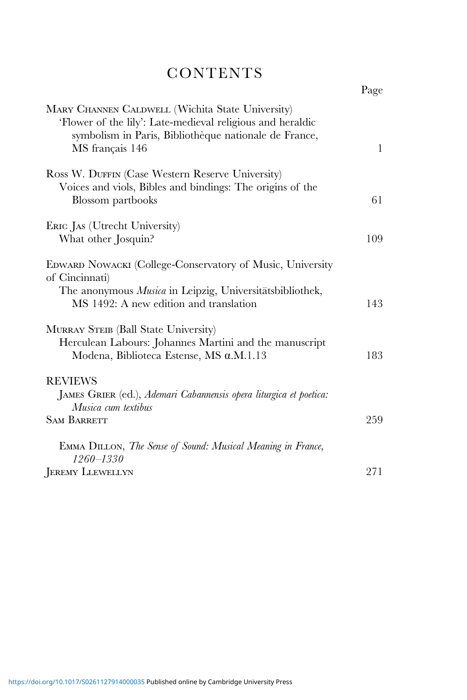### **CONTENTS**

|                                                                                                                                                                                            | Page |
|--------------------------------------------------------------------------------------------------------------------------------------------------------------------------------------------|------|
| MARY CHANNEN CALDWELL (Wichita State University)<br>'Flower of the lily': Late-medieval religious and heraldic<br>symbolism in Paris, Bibliothèque nationale de France,<br>MS français 146 | 1    |
| Ross W. DUFFIN (Case Western Reserve University)<br>Voices and viols, Bibles and bindings: The origins of the<br><b>Blossom</b> partbooks                                                  | 61   |
| ERIC JAS (Utrecht University)<br>What other Josquin?                                                                                                                                       | 109  |
| EDWARD NOWACKI (College-Conservatory of Music, University                                                                                                                                  |      |
| of Cincinnati)<br>The anonymous Musica in Leipzig, Universitätsbibliothek,<br>MS 1492: A new edition and translation                                                                       | 143  |
| MURRAY STEIB (Ball State University)                                                                                                                                                       |      |
| Herculean Labours: Johannes Martini and the manuscript<br>Modena, Biblioteca Estense, MS $\alpha$ .M.1.13                                                                                  | 183  |
| <b>REVIEWS</b>                                                                                                                                                                             |      |
| JAMES GRIER (ed.), Ademari Cabannensis opera liturgica et poetica:<br>Musica cum textibus                                                                                                  |      |
| <b>SAM BARRETT</b>                                                                                                                                                                         | 259  |
| EMMA DILLON, The Sense of Sound: Musical Meaning in France,<br>$1260 - 1330$                                                                                                               |      |
| <b>JEREMY LLEWELLYN</b>                                                                                                                                                                    | 271  |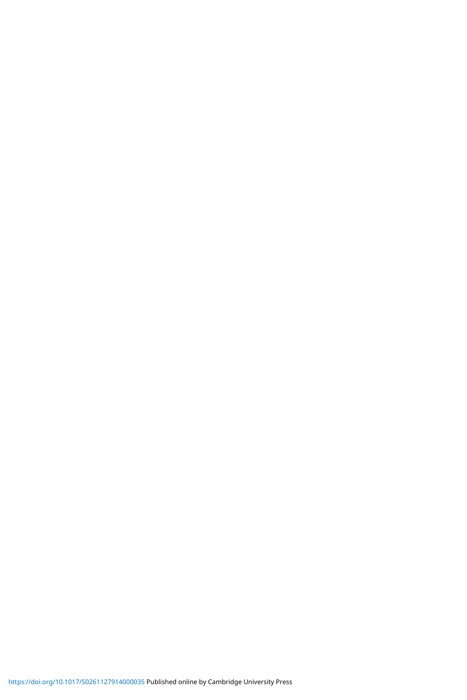<https://doi.org/10.1017/S0261127914000035>Published online by Cambridge University Press